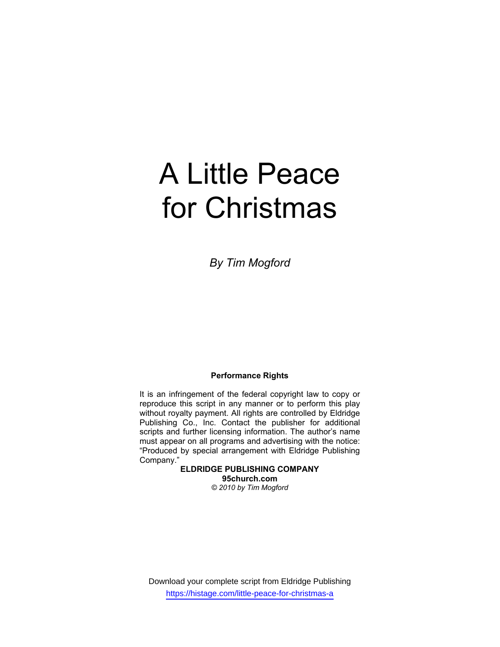# A Little Peace for Christmas

*By Tim Mogford* 

#### **Performance Rights**

It is an infringement of the federal copyright law to copy or reproduce this script in any manner or to perform this play without royalty payment. All rights are controlled by Eldridge Publishing Co., Inc. Contact the publisher for additional scripts and further licensing information. The author's name must appear on all programs and advertising with the notice: "Produced by special arrangement with Eldridge Publishing Company."

> **ELDRIDGE PUBLISHING COMPANY 95church.com**  *© 2010 by Tim Mogford*

Download your complete script from Eldridge Publishing https://histage.com/little-peace-for-christmas-a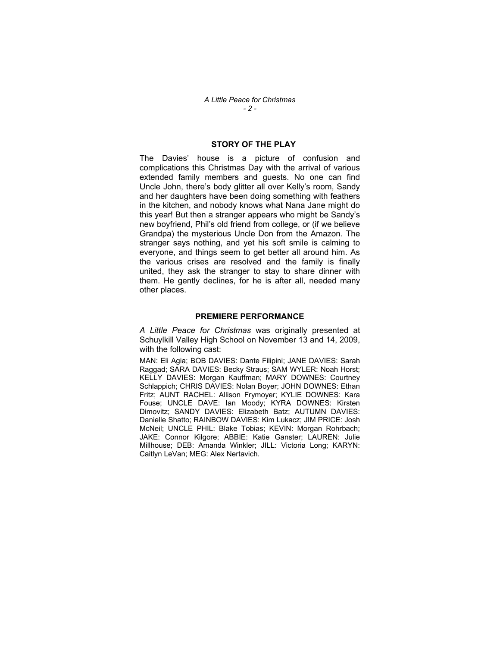### **STORY OF THE PLAY**

The Davies' house is a picture of confusion and complications this Christmas Day with the arrival of various extended family members and guests. No one can find Uncle John, there's body glitter all over Kelly's room, Sandy and her daughters have been doing something with feathers in the kitchen, and nobody knows what Nana Jane might do this year! But then a stranger appears who might be Sandy's new boyfriend, Phil's old friend from college, or (if we believe Grandpa) the mysterious Uncle Don from the Amazon. The stranger says nothing, and yet his soft smile is calming to everyone, and things seem to get better all around him. As the various crises are resolved and the family is finally united, they ask the stranger to stay to share dinner with them. He gently declines, for he is after all, needed many other places.

#### **PREMIERE PERFORMANCE**

*A Little Peace for Christmas* was originally presented at Schuylkill Valley High School on November 13 and 14, 2009, with the following cast:

 MAN: Eli Agia; BOB DAVIES: Dante Filipini; JANE DAVIES: Sarah Raggad; SARA DAVIES: Becky Straus; SAM WYLER: Noah Horst; KELLY DAVIES: Morgan Kauffman; MARY DOWNES: Courtney Schlappich; CHRIS DAVIES: Nolan Boyer; JOHN DOWNES: Ethan Fritz; AUNT RACHEL: Allison Frymoyer; KYLIE DOWNES: Kara Fouse; UNCLE DAVE: Ian Moody; KYRA DOWNES: Kirsten Dimovitz; SANDY DAVIES: Elizabeth Batz; AUTUMN DAVIES: Danielle Shatto; RAINBOW DAVIES: Kim Lukacz; JIM PRICE: Josh McNeil; UNCLE PHIL: Blake Tobias; KEVIN: Morgan Rohrbach; JAKE: Connor Kilgore; ABBIE: Katie Ganster; LAUREN: Julie Millhouse; DEB: Amanda Winkler; JILL: Victoria Long; KARYN: Caitlyn LeVan; MEG: Alex Nertavich.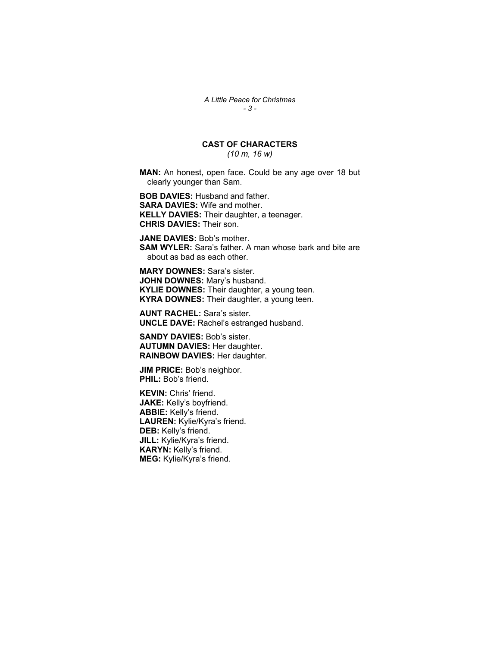*A Little Peace for Christmas - 3 -* 

## **CAST OF CHARACTERS**

*(10 m, 16 w)* 

**MAN:** An honest, open face. Could be any age over 18 but clearly younger than Sam.

**BOB DAVIES:** Husband and father. **SARA DAVIES:** Wife and mother. **KELLY DAVIES:** Their daughter, a teenager. **CHRIS DAVIES:** Their son.

**JANE DAVIES:** Bob's mother. **SAM WYLER:** Sara's father. A man whose bark and bite are about as bad as each other.

**MARY DOWNES:** Sara's sister. **JOHN DOWNES:** Mary's husband. **KYLIE DOWNES:** Their daughter, a young teen. **KYRA DOWNES:** Their daughter, a young teen.

**AUNT RACHEL:** Sara's sister. **UNCLE DAVE:** Rachel's estranged husband.

**SANDY DAVIES:** Bob's sister. **AUTUMN DAVIES:** Her daughter. **RAINBOW DAVIES:** Her daughter.

**JIM PRICE: Bob's neighbor. PHIL:** Bob's friend.

**KEVIN:** Chris' friend. **JAKE:** Kelly's boyfriend. **ABBIE:** Kelly's friend. **LAUREN:** Kylie/Kyra's friend. **DEB:** Kelly's friend. **JILL:** Kylie/Kyra's friend. **KARYN:** Kelly's friend. **MEG:** Kylie/Kyra's friend.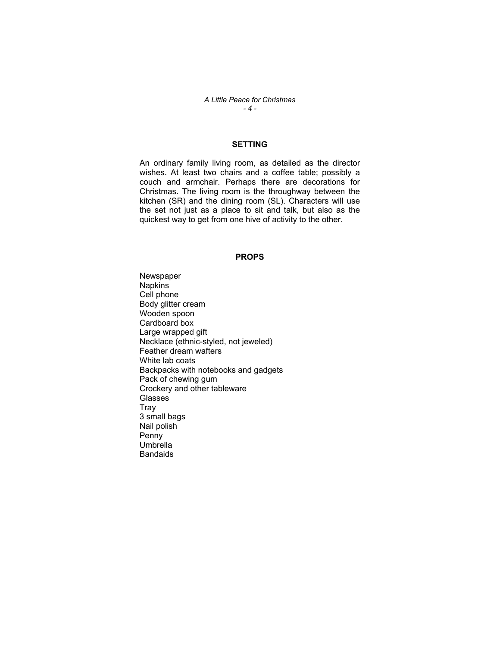*A Little Peace for Christmas - 4 -* 

## **SETTING**

An ordinary family living room, as detailed as the director wishes. At least two chairs and a coffee table; possibly a couch and armchair. Perhaps there are decorations for Christmas. The living room is the throughway between the kitchen (SR) and the dining room (SL). Characters will use the set not just as a place to sit and talk, but also as the quickest way to get from one hive of activity to the other.

#### **PROPS**

Newspaper Napkins Cell phone Body glitter cream Wooden spoon Cardboard box Large wrapped gift Necklace (ethnic-styled, not jeweled) Feather dream wafters White lab coats Backpacks with notebooks and gadgets Pack of chewing gum Crockery and other tableware Glasses **Tray** 3 small bags Nail polish Penny **Umbrella Bandaids**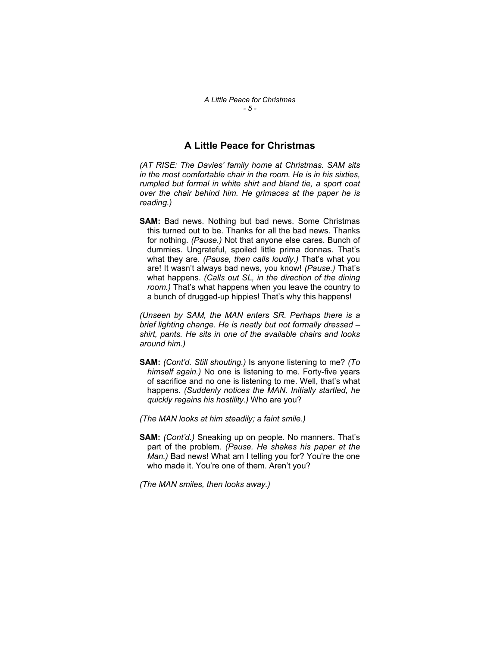## **A Little Peace for Christmas**

*(AT RISE: The Davies' family home at Christmas. SAM sits in the most comfortable chair in the room. He is in his sixties, rumpled but formal in white shirt and bland tie, a sport coat over the chair behind him. He grimaces at the paper he is reading.)* 

**SAM:** Bad news. Nothing but bad news. Some Christmas this turned out to be. Thanks for all the bad news. Thanks for nothing. *(Pause.)* Not that anyone else cares. Bunch of dummies. Ungrateful, spoiled little prima donnas. That's what they are. *(Pause, then calls loudly.)* That's what you are! It wasn't always bad news, you know! *(Pause.)* That's what happens. *(Calls out SL, in the direction of the dining room.)* That's what happens when you leave the country to a bunch of drugged-up hippies! That's why this happens!

*(Unseen by SAM, the MAN enters SR. Perhaps there is a brief lighting change. He is neatly but not formally dressed – shirt, pants. He sits in one of the available chairs and looks around him.)* 

**SAM:** *(Cont'd. Still shouting.)* Is anyone listening to me? *(To himself again.)* No one is listening to me. Forty-five years of sacrifice and no one is listening to me. Well, that's what happens. *(Suddenly notices the MAN. Initially startled, he quickly regains his hostility.)* Who are you?

*(The MAN looks at him steadily; a faint smile.)*

**SAM:** *(Cont'd.)* Sneaking up on people. No manners. That's part of the problem. *(Pause. He shakes his paper at the Man.)* Bad news! What am I telling you for? You're the one who made it. You're one of them. Aren't you?

*(The MAN smiles, then looks away.)*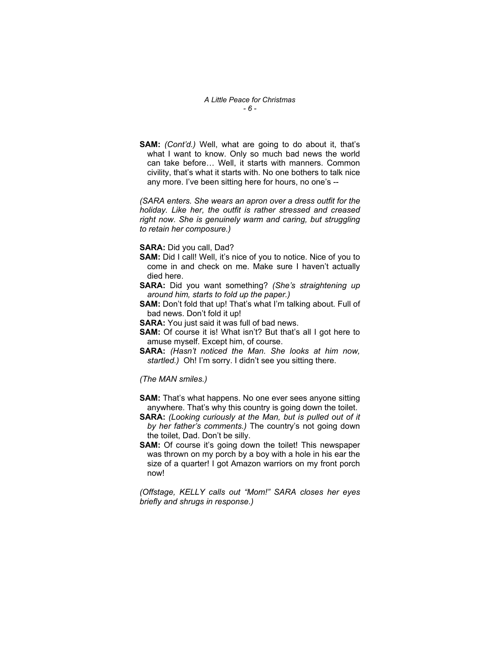*A Little Peace for Christmas - 6 -* 

**SAM:** *(Cont'd.)* Well, what are going to do about it, that's what I want to know. Only so much bad news the world can take before… Well, it starts with manners. Common civility, that's what it starts with. No one bothers to talk nice any more. I've been sitting here for hours, no one's --

*(SARA enters. She wears an apron over a dress outfit for the holiday. Like her, the outfit is rather stressed and creased right now. She is genuinely warm and caring, but struggling to retain her composure.)* 

**SARA:** Did you call, Dad?

- **SAM:** Did I call! Well, it's nice of you to notice. Nice of you to come in and check on me. Make sure I haven't actually died here.
- **SARA:** Did you want something? *(She's straightening up around him, starts to fold up the paper.)*
- **SAM:** Don't fold that up! That's what I'm talking about. Full of bad news. Don't fold it up!
- **SARA:** You just said it was full of bad news.
- **SAM:** Of course it is! What isn't? But that's all I got here to amuse myself. Except him, of course.
- **SARA:** *(Hasn't noticed the Man. She looks at him now, startled.)* Oh! I'm sorry. I didn't see you sitting there.

*(The MAN smiles.)*

- **SAM:** That's what happens. No one ever sees anyone sitting anywhere. That's why this country is going down the toilet.
- **SARA:** *(Looking curiously at the Man, but is pulled out of it by her father's comments.)* The country's not going down the toilet, Dad. Don't be silly.
- **SAM:** Of course it's going down the toilet! This newspaper was thrown on my porch by a boy with a hole in his ear the size of a quarter! I got Amazon warriors on my front porch now!

*(Offstage, KELLY calls out "Mom!" SARA closes her eyes briefly and shrugs in response.)*